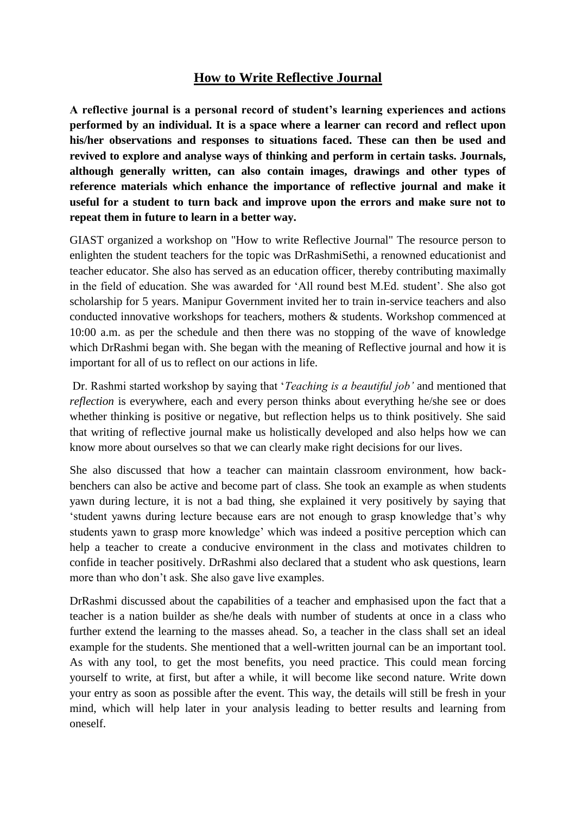## **How to Write Reflective Journal**

**A reflective journal is a personal record of student's learning experiences and actions performed by an individual. It is a space where a learner can record and reflect upon his/her observations and responses to situations faced. These can then be used and revived to explore and analyse ways of thinking and perform in certain tasks. Journals, although generally written, can also contain images, drawings and other types of reference materials which enhance the importance of reflective journal and make it useful for a student to turn back and improve upon the errors and make sure not to repeat them in future to learn in a better way.**

GIAST organized a workshop on "How to write Reflective Journal" The resource person to enlighten the student teachers for the topic was DrRashmiSethi, a renowned educationist and teacher educator. She also has served as an education officer, thereby contributing maximally in the field of education. She was awarded for 'All round best M.Ed. student'. She also got scholarship for 5 years. Manipur Government invited her to train in-service teachers and also conducted innovative workshops for teachers, mothers & students. Workshop commenced at 10:00 a.m. as per the schedule and then there was no stopping of the wave of knowledge which DrRashmi began with. She began with the meaning of Reflective journal and how it is important for all of us to reflect on our actions in life.

Dr. Rashmi started workshop by saying that '*Teaching is a beautiful job'* and mentioned that *reflection* is everywhere, each and every person thinks about everything he/she see or does whether thinking is positive or negative, but reflection helps us to think positively. She said that writing of reflective journal make us holistically developed and also helps how we can know more about ourselves so that we can clearly make right decisions for our lives.

She also discussed that how a teacher can maintain classroom environment, how backbenchers can also be active and become part of class. She took an example as when students yawn during lecture, it is not a bad thing, she explained it very positively by saying that 'student yawns during lecture because ears are not enough to grasp knowledge that's why students yawn to grasp more knowledge' which was indeed a positive perception which can help a teacher to create a conducive environment in the class and motivates children to confide in teacher positively. DrRashmi also declared that a student who ask questions, learn more than who don't ask. She also gave live examples.

DrRashmi discussed about the capabilities of a teacher and emphasised upon the fact that a teacher is a nation builder as she/he deals with number of students at once in a class who further extend the learning to the masses ahead. So, a teacher in the class shall set an ideal example for the students. She mentioned that a well-written journal can be an important tool. As with any tool, to get the most benefits, you need practice. This could mean forcing yourself to write, at first, but after a while, it will become like second nature. Write down your entry as soon as possible after the event. This way, the details will still be fresh in your mind, which will help later in your analysis leading to better results and learning from oneself.